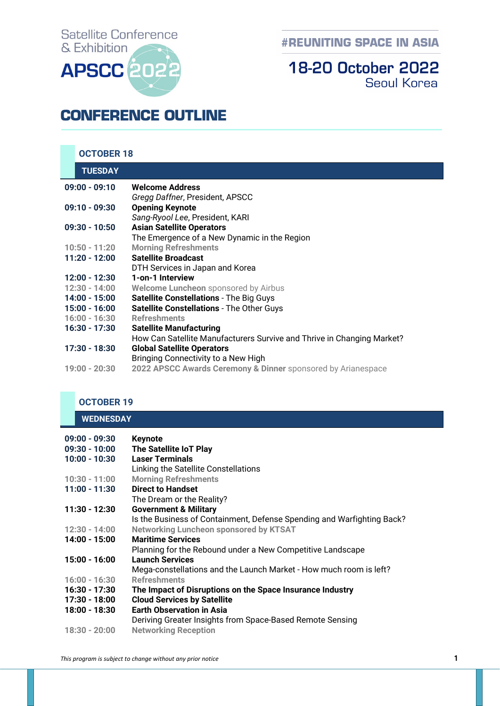# **Satellite Conference** & Exhibition **APSCC**

**#REUNITING SPACE IN ASIA** 

### **18-20 October 2022 Seoul Korea**

## **CONFERENCE OUTLINE**

|                 | <b>OCTOBER 18</b> |                                                                        |
|-----------------|-------------------|------------------------------------------------------------------------|
|                 | <b>TUESDAY</b>    |                                                                        |
| $09:00 - 09:10$ |                   | <b>Welcome Address</b>                                                 |
|                 |                   | Gregg Daffner, President, APSCC                                        |
| $09:10 - 09:30$ |                   | <b>Opening Keynote</b>                                                 |
|                 |                   | Sang-Ryool Lee, President, KARI                                        |
|                 | $09:30 - 10:50$   | <b>Asian Satellite Operators</b>                                       |
|                 |                   | The Emergence of a New Dynamic in the Region                           |
|                 | $10:50 - 11:20$   | <b>Morning Refreshments</b>                                            |
|                 | $11:20 - 12:00$   | <b>Satellite Broadcast</b>                                             |
|                 |                   | DTH Services in Japan and Korea                                        |
|                 | 12:00 - 12:30     | 1-on-1 Interview                                                       |
|                 | $12:30 - 14:00$   | Welcome Luncheon sponsored by Airbus                                   |
|                 | 14:00 - 15:00     | <b>Satellite Constellations - The Big Guys</b>                         |
|                 | 15:00 - 16:00     | <b>Satellite Constellations - The Other Guys</b>                       |
|                 | $16:00 - 16:30$   | <b>Refreshments</b>                                                    |
|                 | 16:30 - 17:30     | <b>Satellite Manufacturing</b>                                         |
|                 |                   | How Can Satellite Manufacturers Survive and Thrive in Changing Market? |
|                 | 17:30 - 18:30     | <b>Global Satellite Operators</b>                                      |
|                 |                   | Bringing Connectivity to a New High                                    |
|                 | 19:00 - 20:30     | 2022 APSCC Awards Ceremony & Dinner sponsored by Arianespace           |

#### **OCTOBER 19 WEDNESDAY**

| $09:00 - 09:30$<br>$09:30 - 10:00$ | <b>Keynote</b><br><b>The Satellite IoT Play</b>                        |
|------------------------------------|------------------------------------------------------------------------|
| $10:00 - 10:30$                    | <b>Laser Terminals</b>                                                 |
|                                    | Linking the Satellite Constellations                                   |
| 10:30 - 11:00                      | <b>Morning Refreshments</b>                                            |
| $11:00 - 11:30$                    | <b>Direct to Handset</b>                                               |
|                                    | The Dream or the Reality?                                              |
| 11:30 - 12:30                      | <b>Government &amp; Military</b>                                       |
|                                    | Is the Business of Containment, Defense Spending and Warfighting Back? |
| $12:30 - 14:00$                    | <b>Networking Luncheon sponsored by KTSAT</b>                          |
| 14:00 - 15:00                      | <b>Maritime Services</b>                                               |
|                                    | Planning for the Rebound under a New Competitive Landscape             |
| 15:00 - 16:00                      | <b>Launch Services</b>                                                 |
|                                    | Mega-constellations and the Launch Market - How much room is left?     |
| $16:00 - 16:30$                    | <b>Refreshments</b>                                                    |
| 16:30 - 17:30                      | The Impact of Disruptions on the Space Insurance Industry              |
| 17:30 - 18:00                      | <b>Cloud Services by Satellite</b>                                     |
| 18:00 - 18:30                      | <b>Earth Observation in Asia</b>                                       |
|                                    | Deriving Greater Insights from Space-Based Remote Sensing              |
| $18:30 - 20:00$                    | <b>Networking Reception</b>                                            |